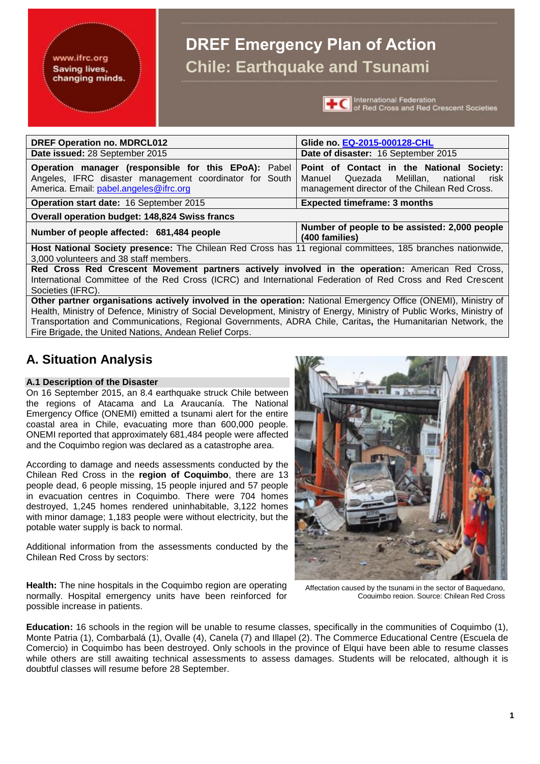## **DREF Emergency Plan of Action Chile: Earthquake and Tsunami**



**+C** International Federation<br>**+C** of Red Cross and Red Crescent Societies

| <b>DREF Operation no. MDRCL012</b>                                                                                                                        | Glide no. EQ-2015-000128-CHL                                                                                                                  |  |  |  |  |  |  |  |  |  |
|-----------------------------------------------------------------------------------------------------------------------------------------------------------|-----------------------------------------------------------------------------------------------------------------------------------------------|--|--|--|--|--|--|--|--|--|
| Date issued: 28 September 2015                                                                                                                            | Date of disaster: 16 September 2015                                                                                                           |  |  |  |  |  |  |  |  |  |
| Operation manager (responsible for this EPoA): Pabel<br>Angeles, IFRC disaster management coordinator for South<br>America. Email: pabel.angeles@ifrc.org | Point of Contact in the National Society:<br>Manuel Quezada<br>Melillan.<br>national<br>risk<br>management director of the Chilean Red Cross. |  |  |  |  |  |  |  |  |  |
| <b>Operation start date: 16 September 2015</b>                                                                                                            | <b>Expected timeframe: 3 months</b>                                                                                                           |  |  |  |  |  |  |  |  |  |
| <b>Overall operation budget: 148,824 Swiss francs</b>                                                                                                     |                                                                                                                                               |  |  |  |  |  |  |  |  |  |
| Number of people to be assisted: 2,000 people<br>Number of people affected: 681,484 people<br>(400 families)                                              |                                                                                                                                               |  |  |  |  |  |  |  |  |  |
| Host National Society presence: The Chilean Red Cross has 11 regional committees, 185 branches nationwide,                                                |                                                                                                                                               |  |  |  |  |  |  |  |  |  |
| 3,000 volunteers and 38 staff members.                                                                                                                    |                                                                                                                                               |  |  |  |  |  |  |  |  |  |
| Red Cross Red Crescent Movement partners actively involved in the operation: American Red Cross,                                                          |                                                                                                                                               |  |  |  |  |  |  |  |  |  |
| International Committee of the Red Cross (ICRC) and International Federation of Red Cross and Red Crescent                                                |                                                                                                                                               |  |  |  |  |  |  |  |  |  |
| Societies (IFRC).                                                                                                                                         |                                                                                                                                               |  |  |  |  |  |  |  |  |  |

**Other partner organisations actively involved in the operation:** National Emergency Office (ONEMI), Ministry of Health, Ministry of Defence, Ministry of Social Development, Ministry of Energy, Ministry of Public Works, Ministry of Transportation and Communications, Regional Governments, ADRA Chile, Caritas**,** the Humanitarian Network, the Fire Brigade, the United Nations, Andean Relief Corps.

## **A. Situation Analysis**

#### **A.1 Description of the Disaster**

On 16 September 2015, an 8.4 earthquake struck Chile between the regions of Atacama and La Araucanía. The National Emergency Office (ONEMI) emitted a tsunami alert for the entire coastal area in Chile, evacuating more than 600,000 people. ONEMI reported that approximately 681,484 people were affected and the Coquimbo region was declared as a catastrophe area.

According to damage and needs assessments conducted by the Chilean Red Cross in the **region of Coquimbo**, there are 13 people dead, 6 people missing, 15 people injured and 57 people in evacuation centres in Coquimbo. There were 704 homes destroyed, 1,245 homes rendered uninhabitable, 3,122 homes with minor damage; 1,183 people were without electricity, but the potable water supply is back to normal.

Additional information from the assessments conducted by the Chilean Red Cross by sectors:



Affectation caused by the tsunami in the sector of Baquedano, Coquimbo region. Source: Chilean Red Cross

**Health:** The nine hospitals in the Coquimbo region are operating normally. Hospital emergency units have been reinforced for possible increase in patients.

**Education:** 16 schools in the region will be unable to resume classes, specifically in the communities of Coquimbo (1), Monte Patria (1), Combarbalá (1), Ovalle (4), Canela (7) and Illapel (2). The Commerce Educational Centre (Escuela de Comercio) in Coquimbo has been destroyed. Only schools in the province of Elqui have been able to resume classes while others are still awaiting technical assessments to assess damages. Students will be relocated, although it is doubtful classes will resume before 28 September.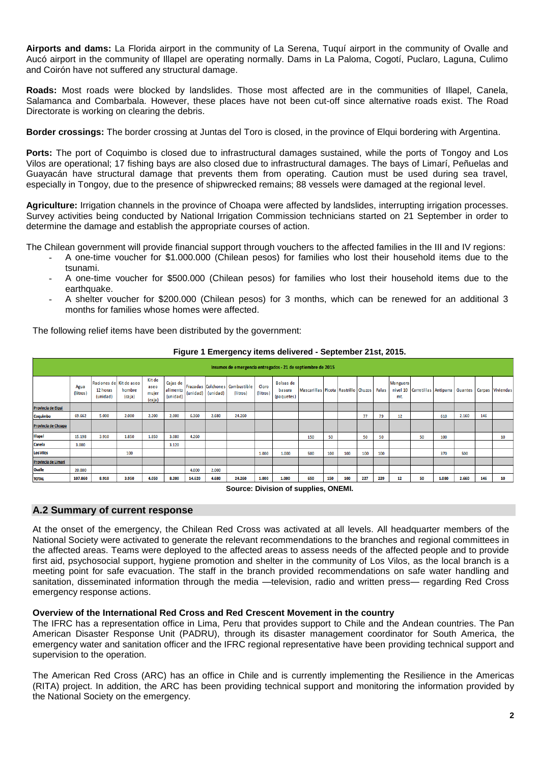**Airports and dams:** La Florida airport in the community of La Serena, Tuquí airport in the community of Ovalle and Aucó airport in the community of Illapel are operating normally. Dams in La Paloma, Cogotí, Puclaro, Laguna, Culimo and Coirón have not suffered any structural damage.

**Roads:** Most roads were blocked by landslides. Those most affected are in the communities of Illapel, Canela, Salamanca and Combarbala. However, these places have not been cut-off since alternative roads exist. The Road Directorate is working on clearing the debris.

**Border crossings:** The border crossing at Juntas del Toro is closed, in the province of Elqui bordering with Argentina.

**Ports:** The port of Coquimbo is closed due to infrastructural damages sustained, while the ports of Tongoy and Los Vilos are operational; 17 fishing bays are also closed due to infrastructural damages. The bays of Limarí, Peñuelas and Guayacán have structural damage that prevents them from operating. Caution must be used during sea travel, especially in Tongoy, due to the presence of shipwrecked remains; 88 vessels were damaged at the regional level.

**Agriculture:** Irrigation channels in the province of Choapa were affected by landslides, interrupting irrigation processes. Survey activities being conducted by National Irrigation Commission technicians started on 21 September in order to determine the damage and establish the appropriate courses of action.

The Chilean government will provide financial support through vouchers to the affected families in the III and IV regions:

- A one-time voucher for \$1.000.000 (Chilean pesos) for families who lost their household items due to the tsunami.
- A one-time voucher for \$500.000 (Chilean pesos) for families who lost their household items due to the earthquake.
- A shelter voucher for \$200.000 (Chilean pesos) for 3 months, which can be renewed for an additional 3 months for families whose homes were affected.

The following relief items have been distributed by the government:

**Figure 1 Emergency items delivered - September 21st, 2015.**

|                     | Insumos de emergencia entregados - 21 de septiembre de 2015 |                                                 |                  |                                   |                                  |          |          |                                            |                   |                                          |                                             |     |     |     |     |                 |                                |       |                |     |                  |
|---------------------|-------------------------------------------------------------|-------------------------------------------------|------------------|-----------------------------------|----------------------------------|----------|----------|--------------------------------------------|-------------------|------------------------------------------|---------------------------------------------|-----|-----|-----|-----|-----------------|--------------------------------|-------|----------------|-----|------------------|
|                     | Agua<br>(litros)                                            | Raciones de Kit de aseo<br>12 horas<br>(unidad) | hombre<br>(caja) | Kit de<br>aseo<br>mujer<br>(caja) | Cajas de<br>alimento<br>(unidad) | (unidad) | (unidad) | Frazadas Colchones Combustible<br>(litros) | Cloro<br>(litros) | <b>Bolsas de</b><br>basura<br>(paquetes) | Mascarillas Picota Rastrillo Chuzos   Palas |     |     |     |     | Manguera<br>mt. | nivel 10 Carretillas Antiparra |       | <b>Guantes</b> |     | Carpas Viviendas |
| Provincia de Elqui  |                                                             |                                                 |                  |                                   |                                  |          |          |                                            |                   |                                          |                                             |     |     |     |     |                 |                                |       |                |     |                  |
| Coquimbo            | 69.662                                                      | 5.000                                           | 2.000            | 2.200                             | 2.000                            | 6.360    | 2.680    | 24.260                                     |                   |                                          |                                             |     |     | 77  | 79  | 12              |                                | 610   | 2.160          | 146 |                  |
| Provincia de Choapa |                                                             |                                                 |                  |                                   |                                  |          |          |                                            |                   |                                          |                                             |     |     |     |     |                 |                                |       |                |     |                  |
| <b>Illapel</b>      | 15.198                                                      | 3.910                                           | 1.850            | 1.850                             | 3.080                            | 4.260    |          |                                            |                   |                                          | 150                                         | 50  |     | 50  | 50  |                 | 50                             | 100   |                |     | 10               |
| Canela              | 3.000                                                       |                                                 |                  |                                   | 3.120                            |          |          |                                            |                   |                                          |                                             |     |     |     |     |                 |                                |       |                |     |                  |
| <b>Los Vilos</b>    |                                                             |                                                 | 100              |                                   |                                  |          |          |                                            | 1.000             | 1.000                                    | 500                                         | 100 | 100 | 100 | 100 |                 |                                | 370   | 500            |     |                  |
| Provincia de Limarí |                                                             |                                                 |                  |                                   |                                  |          |          |                                            |                   |                                          |                                             |     |     |     |     |                 |                                |       |                |     |                  |
| <b>Ovalle</b>       | 20.000                                                      |                                                 |                  |                                   |                                  | 4.000    | 2.000    |                                            |                   |                                          |                                             |     |     |     |     |                 |                                |       |                |     |                  |
| <b>TOTAL</b>        | 107.860                                                     | 8.910                                           | 3.950            | 4,050                             | 8.200                            | 14.620   | 4.680    | 24.260                                     | 1.000             | 1.000                                    | 650                                         | 150 | 100 | 227 | 229 | 12              | 50                             | 1.080 | 2.660          | 146 | 10               |

**Source: Division of supplies, ONEMI.**

#### **A.2 Summary of current response**

At the onset of the emergency, the Chilean Red Cross was activated at all levels. All headquarter members of the National Society were activated to generate the relevant recommendations to the branches and regional committees in the affected areas. Teams were deployed to the affected areas to assess needs of the affected people and to provide first aid, psychosocial support, hygiene promotion and shelter in the community of Los Vilos, as the local branch is a meeting point for safe evacuation. The staff in the branch provided recommendations on safe water handling and sanitation, disseminated information through the media —television, radio and written press— regarding Red Cross emergency response actions.

#### **Overview of the International Red Cross and Red Crescent Movement in the country**

The IFRC has a representation office in Lima, Peru that provides support to Chile and the Andean countries. The Pan American Disaster Response Unit (PADRU), through its disaster management coordinator for South America, the emergency water and sanitation officer and the IFRC regional representative have been providing technical support and supervision to the operation.

The American Red Cross (ARC) has an office in Chile and is currently implementing the Resilience in the Americas (RITA) project. In addition, the ARC has been providing technical support and monitoring the information provided by the National Society on the emergency.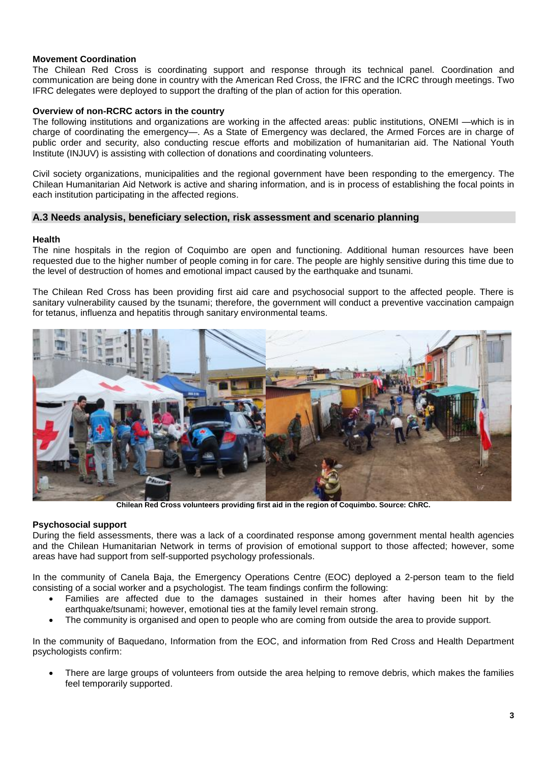#### **Movement Coordination**

The Chilean Red Cross is coordinating support and response through its technical panel. Coordination and communication are being done in country with the American Red Cross, the IFRC and the ICRC through meetings. Two IFRC delegates were deployed to support the drafting of the plan of action for this operation.

#### **Overview of non-RCRC actors in the country**

The following institutions and organizations are working in the affected areas: public institutions, ONEMI —which is in charge of coordinating the emergency—. As a State of Emergency was declared, the Armed Forces are in charge of public order and security, also conducting rescue efforts and mobilization of humanitarian aid. The National Youth Institute (INJUV) is assisting with collection of donations and coordinating volunteers.

Civil society organizations, municipalities and the regional government have been responding to the emergency. The Chilean Humanitarian Aid Network is active and sharing information, and is in process of establishing the focal points in each institution participating in the affected regions.

#### **A.3 Needs analysis, beneficiary selection, risk assessment and scenario planning**

#### **Health**

The nine hospitals in the region of Coquimbo are open and functioning. Additional human resources have been requested due to the higher number of people coming in for care. The people are highly sensitive during this time due to the level of destruction of homes and emotional impact caused by the earthquake and tsunami.

The Chilean Red Cross has been providing first aid care and psychosocial support to the affected people. There is sanitary vulnerability caused by the tsunami; therefore, the government will conduct a preventive vaccination campaign for tetanus, influenza and hepatitis through sanitary environmental teams.



**Chilean Red Cross volunteers providing first aid in the region of Coquimbo. Source: ChRC.**

#### **Psychosocial support**

During the field assessments, there was a lack of a coordinated response among government mental health agencies and the Chilean Humanitarian Network in terms of provision of emotional support to those affected; however, some areas have had support from self-supported psychology professionals.

In the community of Canela Baja, the Emergency Operations Centre (EOC) deployed a 2-person team to the field consisting of a social worker and a psychologist. The team findings confirm the following:

- Families are affected due to the damages sustained in their homes after having been hit by the earthquake/tsunami; however, emotional ties at the family level remain strong.
- The community is organised and open to people who are coming from outside the area to provide support.

In the community of Baquedano, Information from the EOC, and information from Red Cross and Health Department psychologists confirm:

 There are large groups of volunteers from outside the area helping to remove debris, which makes the families feel temporarily supported.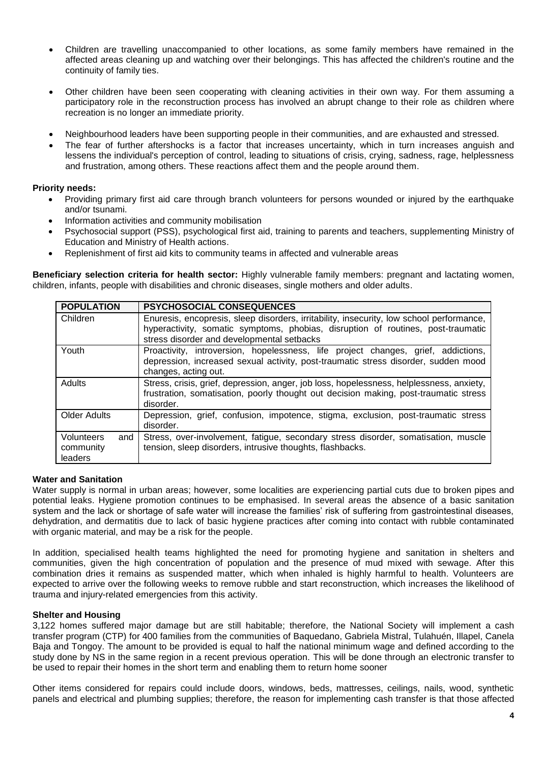- Children are travelling unaccompanied to other locations, as some family members have remained in the affected areas cleaning up and watching over their belongings. This has affected the children's routine and the continuity of family ties.
- Other children have been seen cooperating with cleaning activities in their own way. For them assuming a participatory role in the reconstruction process has involved an abrupt change to their role as children where recreation is no longer an immediate priority.
- Neighbourhood leaders have been supporting people in their communities, and are exhausted and stressed.
- The fear of further aftershocks is a factor that increases uncertainty, which in turn increases anguish and lessens the individual's perception of control, leading to situations of crisis, crying, sadness, rage, helplessness and frustration, among others. These reactions affect them and the people around them.

#### **Priority needs:**

- Providing primary first aid care through branch volunteers for persons wounded or injured by the earthquake and/or tsunami.
- Information activities and community mobilisation
- Psychosocial support (PSS), psychological first aid, training to parents and teachers, supplementing Ministry of Education and Ministry of Health actions.
- Replenishment of first aid kits to community teams in affected and vulnerable areas

**Beneficiary selection criteria for health sector:** Highly vulnerable family members: pregnant and lactating women, children, infants, people with disabilities and chronic diseases, single mothers and older adults.

| <b>POPULATION</b>                                | <b>PSYCHOSOCIAL CONSEQUENCES</b>                                                                                                                                                                                           |
|--------------------------------------------------|----------------------------------------------------------------------------------------------------------------------------------------------------------------------------------------------------------------------------|
| Children                                         | Enuresis, encopresis, sleep disorders, irritability, insecurity, low school performance,<br>hyperactivity, somatic symptoms, phobias, disruption of routines, post-traumatic<br>stress disorder and developmental setbacks |
| Youth                                            | Proactivity, introversion, hopelessness, life project changes, grief, addictions,<br>depression, increased sexual activity, post-traumatic stress disorder, sudden mood<br>changes, acting out.                            |
| Adults                                           | Stress, crisis, grief, depression, anger, job loss, hopelessness, helplessness, anxiety,<br>frustration, somatisation, poorly thought out decision making, post-traumatic stress<br>disorder.                              |
| <b>Older Adults</b>                              | Depression, grief, confusion, impotence, stigma, exclusion, post-traumatic stress<br>disorder.                                                                                                                             |
| <b>Volunteers</b><br>and<br>community<br>leaders | Stress, over-involvement, fatigue, secondary stress disorder, somatisation, muscle<br>tension, sleep disorders, intrusive thoughts, flashbacks.                                                                            |

#### **Water and Sanitation**

Water supply is normal in urban areas; however, some localities are experiencing partial cuts due to broken pipes and potential leaks. Hygiene promotion continues to be emphasised. In several areas the absence of a basic sanitation system and the lack or shortage of safe water will increase the families' risk of suffering from gastrointestinal diseases, dehydration, and dermatitis due to lack of basic hygiene practices after coming into contact with rubble contaminated with organic material, and may be a risk for the people.

In addition. specialised health teams highlighted the need for promoting hygiene and sanitation in shelters and communities, given the high concentration of population and the presence of mud mixed with sewage. After this combination dries it remains as suspended matter, which when inhaled is highly harmful to health. Volunteers are expected to arrive over the following weeks to remove rubble and start reconstruction, which increases the likelihood of trauma and injury-related emergencies from this activity.

#### **Shelter and Housing**

3,122 homes suffered major damage but are still habitable; therefore, the National Society will implement a cash transfer program (CTP) for 400 families from the communities of Baquedano, Gabriela Mistral, Tulahuén, Illapel, Canela Baja and Tongoy. The amount to be provided is equal to half the national minimum wage and defined according to the study done by NS in the same region in a recent previous operation. This will be done through an electronic transfer to be used to repair their homes in the short term and enabling them to return home sooner

Other items considered for repairs could include doors, windows, beds, mattresses, ceilings, nails, wood, synthetic panels and electrical and plumbing supplies; therefore, the reason for implementing cash transfer is that those affected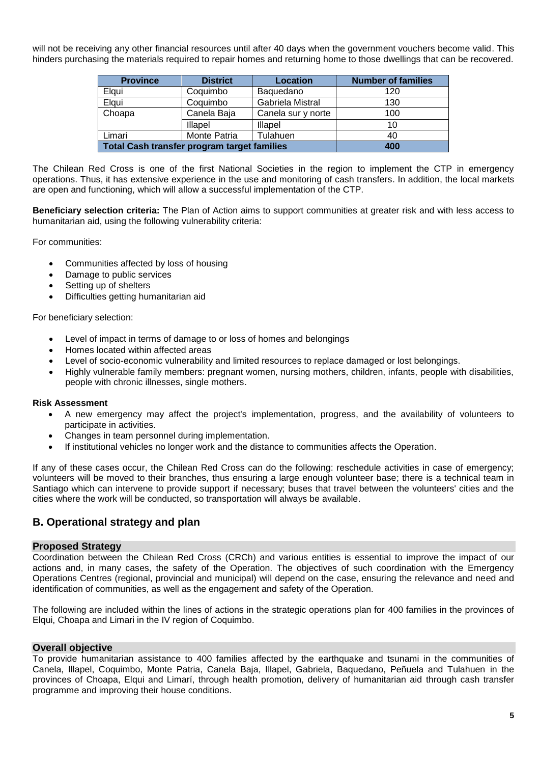will not be receiving any other financial resources until after 40 days when the government vouchers become valid. This hinders purchasing the materials required to repair homes and returning home to those dwellings that can be recovered.

| <b>Province</b>                                    | <b>District</b> | Location           | <b>Number of families</b> |
|----------------------------------------------------|-----------------|--------------------|---------------------------|
| Elqui                                              | Coquimbo        | Baquedano          | 120                       |
| Elqui                                              | Coquimbo        | Gabriela Mistral   | 130                       |
| Choapa                                             | Canela Baja     | Canela sur y norte | 100                       |
|                                                    | Illapel         | Illapel            | 10                        |
| Limari                                             | Monte Patria    | Tulahuen           | 40                        |
| <b>Total Cash transfer program target families</b> | 400             |                    |                           |

The Chilean Red Cross is one of the first National Societies in the region to implement the CTP in emergency operations. Thus, it has extensive experience in the use and monitoring of cash transfers. In addition, the local markets are open and functioning, which will allow a successful implementation of the CTP.

**Beneficiary selection criteria:** The Plan of Action aims to support communities at greater risk and with less access to humanitarian aid, using the following vulnerability criteria:

For communities:

- Communities affected by loss of housing
- Damage to public services
- Setting up of shelters
- Difficulties getting humanitarian aid

For beneficiary selection:

- Level of impact in terms of damage to or loss of homes and belongings
- Homes located within affected areas
- Level of socio-economic vulnerability and limited resources to replace damaged or lost belongings.
- Highly vulnerable family members: pregnant women, nursing mothers, children, infants, people with disabilities, people with chronic illnesses, single mothers.

#### **Risk Assessment**

- A new emergency may affect the project's implementation, progress, and the availability of volunteers to participate in activities.
- Changes in team personnel during implementation.
- If institutional vehicles no longer work and the distance to communities affects the Operation.

If any of these cases occur, the Chilean Red Cross can do the following: reschedule activities in case of emergency; volunteers will be moved to their branches, thus ensuring a large enough volunteer base; there is a technical team in Santiago which can intervene to provide support if necessary; buses that travel between the volunteers' cities and the cities where the work will be conducted, so transportation will always be available.

#### **B. Operational strategy and plan**

#### **Proposed Strategy**

Coordination between the Chilean Red Cross (CRCh) and various entities is essential to improve the impact of our actions and, in many cases, the safety of the Operation. The objectives of such coordination with the Emergency Operations Centres (regional, provincial and municipal) will depend on the case, ensuring the relevance and need and identification of communities, as well as the engagement and safety of the Operation.

The following are included within the lines of actions in the strategic operations plan for 400 families in the provinces of Elqui, Choapa and Limari in the IV region of Coquimbo.

#### **Overall objective**

To provide humanitarian assistance to 400 families affected by the earthquake and tsunami in the communities of Canela, Illapel, Coquimbo, Monte Patria, Canela Baja, Illapel, Gabriela, Baquedano, Peñuela and Tulahuen in the provinces of Choapa, Elqui and Limarí, through health promotion, delivery of humanitarian aid through cash transfer programme and improving their house conditions.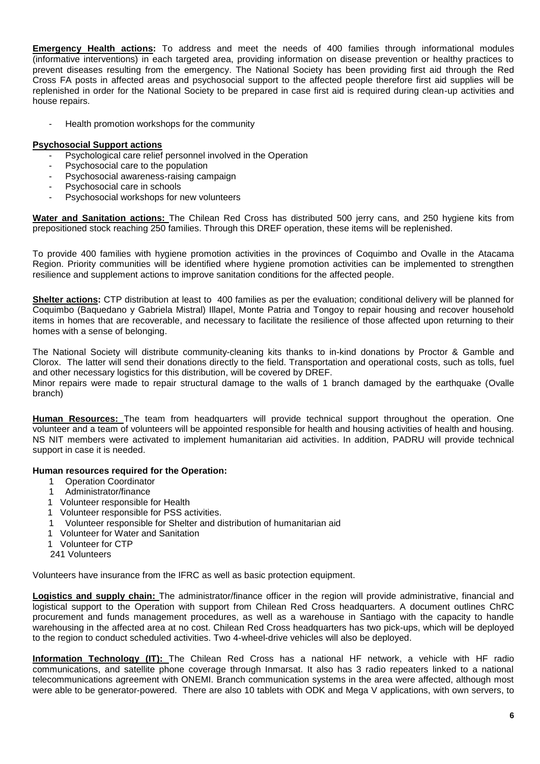**Emergency Health actions:** To address and meet the needs of 400 families through informational modules (informative interventions) in each targeted area, providing information on disease prevention or healthy practices to prevent diseases resulting from the emergency. The National Society has been providing first aid through the Red Cross FA posts in affected areas and psychosocial support to the affected people therefore first aid supplies will be replenished in order for the National Society to be prepared in case first aid is required during clean-up activities and house repairs.

Health promotion workshops for the community

#### **Psychosocial Support actions**

- Psychological care relief personnel involved in the Operation
- Psychosocial care to the population
- Psychosocial awareness-raising campaign
- Psychosocial care in schools
- Psychosocial workshops for new volunteers

**Water and Sanitation actions:** The Chilean Red Cross has distributed 500 jerry cans, and 250 hygiene kits from prepositioned stock reaching 250 families. Through this DREF operation, these items will be replenished.

To provide 400 families with hygiene promotion activities in the provinces of Coquimbo and Ovalle in the Atacama Region. Priority communities will be identified where hygiene promotion activities can be implemented to strengthen resilience and supplement actions to improve sanitation conditions for the affected people.

**Shelter actions:** CTP distribution at least to 400 families as per the evaluation; conditional delivery will be planned for Coquimbo (Baquedano y Gabriela Mistral) Illapel, Monte Patria and Tongoy to repair housing and recover household items in homes that are recoverable, and necessary to facilitate the resilience of those affected upon returning to their homes with a sense of belonging.

The National Society will distribute community-cleaning kits thanks to in-kind donations by Proctor & Gamble and Clorox. The latter will send their donations directly to the field. Transportation and operational costs, such as tolls, fuel and other necessary logistics for this distribution, will be covered by DREF.

Minor repairs were made to repair structural damage to the walls of 1 branch damaged by the earthquake (Ovalle branch)

**Human Resources:** The team from headquarters will provide technical support throughout the operation. One volunteer and a team of volunteers will be appointed responsible for health and housing activities of health and housing. NS NIT members were activated to implement humanitarian aid activities. In addition, PADRU will provide technical support in case it is needed.

#### **Human resources required for the Operation:**

- 1 Operation Coordinator
- 1 Administrator/finance
- 1 Volunteer responsible for Health
- 1 Volunteer responsible for PSS activities.
- 1 Volunteer responsible for Shelter and distribution of humanitarian aid
- 1 Volunteer for Water and Sanitation
- 1 Volunteer for CTP

241 Volunteers

Volunteers have insurance from the IFRC as well as basic protection equipment.

**Logistics and supply chain:** The administrator/finance officer in the region will provide administrative, financial and logistical support to the Operation with support from Chilean Red Cross headquarters. A document outlines ChRC procurement and funds management procedures, as well as a warehouse in Santiago with the capacity to handle warehousing in the affected area at no cost. Chilean Red Cross headquarters has two pick-ups, which will be deployed to the region to conduct scheduled activities. Two 4-wheel-drive vehicles will also be deployed.

**Information Technology (IT):** The Chilean Red Cross has a national HF network, a vehicle with HF radio communications, and satellite phone coverage through Inmarsat. It also has 3 radio repeaters linked to a national telecommunications agreement with ONEMI. Branch communication systems in the area were affected, although most were able to be generator-powered. There are also 10 tablets with ODK and Mega V applications, with own servers, to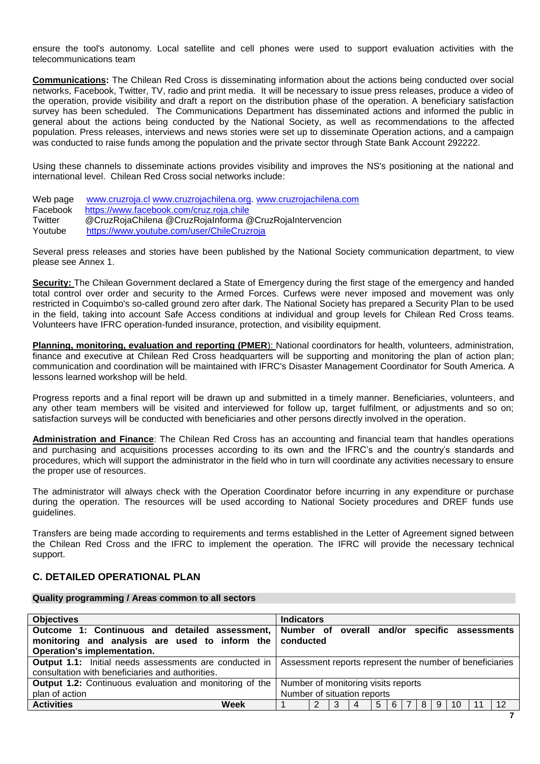ensure the tool's autonomy. Local satellite and cell phones were used to support evaluation activities with the telecommunications team

**Communications:** The Chilean Red Cross is disseminating information about the actions being conducted over social networks, Facebook, Twitter, TV, radio and print media. It will be necessary to issue press releases, produce a video of the operation, provide visibility and draft a report on the distribution phase of the operation. A beneficiary satisfaction survey has been scheduled. The Communications Department has disseminated actions and informed the public in general about the actions being conducted by the National Society, as well as recommendations to the affected population. Press releases, interviews and news stories were set up to disseminate Operation actions, and a campaign was conducted to raise funds among the population and the private sector through State Bank Account 292222.

Using these channels to disseminate actions provides visibility and improves the NS's positioning at the national and international level. Chilean Red Cross social networks include:

Web page [www.cruzroja.cl](http://www.cruzroja.cl/) [www.cruzrojachilena.org.](http://www.cruzrojachilena.org/) [www.cruzrojachilena.com](http://www.cruzrojachilena.com/) Facebook <https://www.facebook.com/cruz.roja.chile> Twitter @CruzRojaChilena @CruzRojaInforma @CruzRojaIntervencion Youtube <https://www.youtube.com/user/ChileCruzroja>

Several press releases and stories have been published by the National Society communication department, to view please see Annex 1.

**Security:** The Chilean Government declared a State of Emergency during the first stage of the emergency and handed total control over order and security to the Armed Forces. Curfews were never imposed and movement was only restricted in Coquimbo's so-called ground zero after dark. The National Society has prepared a Security Plan to be used in the field, taking into account Safe Access conditions at individual and group levels for Chilean Red Cross teams. Volunteers have IFRC operation-funded insurance, protection, and visibility equipment.

**Planning, monitoring, evaluation and reporting (PMER**): National coordinators for health, volunteers, administration, finance and executive at Chilean Red Cross headquarters will be supporting and monitoring the plan of action plan; communication and coordination will be maintained with IFRC's Disaster Management Coordinator for South America. A lessons learned workshop will be held.

Progress reports and a final report will be drawn up and submitted in a timely manner. Beneficiaries, volunteers, and any other team members will be visited and interviewed for follow up, target fulfilment, or adjustments and so on; satisfaction surveys will be conducted with beneficiaries and other persons directly involved in the operation.

**Administration and Finance**: The Chilean Red Cross has an accounting and financial team that handles operations and purchasing and acquisitions processes according to its own and the IFRC's and the country's standards and procedures, which will support the administrator in the field who in turn will coordinate any activities necessary to ensure the proper use of resources.

The administrator will always check with the Operation Coordinator before incurring in any expenditure or purchase during the operation. The resources will be used according to National Society procedures and DREF funds use guidelines.

Transfers are being made according to requirements and terms established in the Letter of Agreement signed between the Chilean Red Cross and the IFRC to implement the operation. The IFRC will provide the necessary technical support.

#### **C. DETAILED OPERATIONAL PLAN**

#### **Quality programming / Areas common to all sectors**

| <b>Objectives</b>                                                                                                                                        | <b>Indicators</b>                                                |  |  |  |  |  |  |  |  |  |  |  |
|----------------------------------------------------------------------------------------------------------------------------------------------------------|------------------------------------------------------------------|--|--|--|--|--|--|--|--|--|--|--|
| Outcome 1: Continuous and detailed assessment, Number of overall and/or specific assessments<br>monitoring and analysis are used to inform the conducted |                                                                  |  |  |  |  |  |  |  |  |  |  |  |
| <b>Operation's implementation.</b>                                                                                                                       |                                                                  |  |  |  |  |  |  |  |  |  |  |  |
| <b>Output 1.1:</b> Initial needs assessments are conducted in                                                                                            | Assessment reports represent the number of beneficiaries         |  |  |  |  |  |  |  |  |  |  |  |
| consultation with beneficiaries and authorities.                                                                                                         |                                                                  |  |  |  |  |  |  |  |  |  |  |  |
| <b>Output 1.2:</b> Continuous evaluation and monitoring of the                                                                                           | Number of monitoring visits reports                              |  |  |  |  |  |  |  |  |  |  |  |
| plan of action                                                                                                                                           | Number of situation reports                                      |  |  |  |  |  |  |  |  |  |  |  |
| <b>Activities</b><br>Week                                                                                                                                | 10<br>9<br>12 <sup>°</sup><br>8<br>2<br>-3<br>-5<br>4<br>11<br>6 |  |  |  |  |  |  |  |  |  |  |  |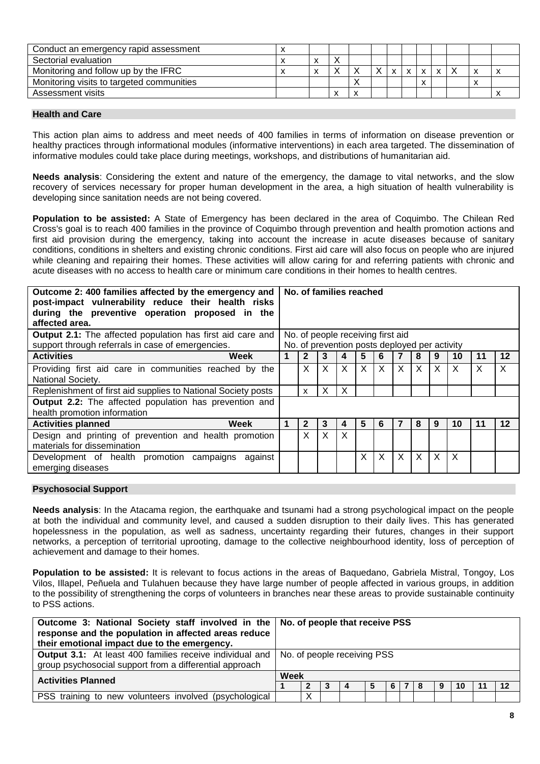| Conduct an emergency rapid assessment     |  |  |  |                               |                |   |  |
|-------------------------------------------|--|--|--|-------------------------------|----------------|---|--|
| Sectorial evaluation                      |  |  |  |                               |                |   |  |
| Monitoring and follow up by the IFRC      |  |  |  | $\mathsf{x}$                  | $\overline{ }$ |   |  |
| Monitoring visits to targeted communities |  |  |  | $\overline{\phantom{a}}$<br>⋏ |                | ́ |  |
| Assessment visits                         |  |  |  |                               |                |   |  |

#### **Health and Care**

This action plan aims to address and meet needs of 400 families in terms of information on disease prevention or healthy practices through informational modules (informative interventions) in each area targeted. The dissemination of informative modules could take place during meetings, workshops, and distributions of humanitarian aid.

**Needs analysis**: Considering the extent and nature of the emergency, the damage to vital networks, and the slow recovery of services necessary for proper human development in the area, a high situation of health vulnerability is developing since sanitation needs are not being covered.

**Population to be assisted:** A State of Emergency has been declared in the area of Coquimbo. The Chilean Red Cross's goal is to reach 400 families in the province of Coquimbo through prevention and health promotion actions and first aid provision during the emergency, taking into account the increase in acute diseases because of sanitary conditions, conditions in shelters and existing chronic conditions. First aid care will also focus on people who are injured while cleaning and repairing their homes. These activities will allow caring for and referring patients with chronic and acute diseases with no access to health care or minimum care conditions in their homes to health centres.

| Outcome 2: 400 families affected by the emergency and<br>post-impact vulnerability reduce their health risks<br>during the preventive operation proposed in the<br>affected area. |   | No. of families reached |   |                           |   |                                                                                    |                           |   |          |    |              |         |
|-----------------------------------------------------------------------------------------------------------------------------------------------------------------------------------|---|-------------------------|---|---------------------------|---|------------------------------------------------------------------------------------|---------------------------|---|----------|----|--------------|---------|
| Output 2.1: The affected population has first aid care and<br>support through referrals in case of emergencies.                                                                   |   |                         |   |                           |   | No. of people receiving first aid<br>No. of prevention posts deployed per activity |                           |   |          |    |              |         |
| <b>Activities</b><br>Week                                                                                                                                                         |   | $\mathbf{2}$            | 3 | 4                         | 5 | 6                                                                                  | 7                         | 8 | 9        | 10 | 11           | 12      |
| Providing first aid care in communities reached by the<br>National Society.                                                                                                       |   | X                       | X | X                         | X | $\times$                                                                           | $\times$                  | X | $\times$ | X  | $\mathsf{X}$ | X       |
| Replenishment of first aid supplies to National Society posts                                                                                                                     |   | $\mathsf{x}$            | X | $\boldsymbol{\mathsf{X}}$ |   |                                                                                    |                           |   |          |    |              |         |
| Output 2.2: The affected population has prevention and<br>health promotion information                                                                                            |   |                         |   |                           |   |                                                                                    |                           |   |          |    |              |         |
| <b>Activities planned</b><br>Week                                                                                                                                                 | 1 | $\mathbf{2}$            | 3 | 4                         | 5 | 6                                                                                  | 7                         | 8 | 9        | 10 | 11           | $12 \,$ |
| Design and printing of prevention and health promotion<br>materials for dissemination                                                                                             |   | X                       | X | X                         |   |                                                                                    |                           |   |          |    |              |         |
| Development of health promotion campaigns<br>against<br>emerging diseases                                                                                                         |   |                         |   |                           | X | $\times$                                                                           | $\boldsymbol{\mathsf{X}}$ | X | X        | X  |              |         |

#### **Psychosocial Support**

**Needs analysis**: In the Atacama region, the earthquake and tsunami had a strong psychological impact on the people at both the individual and community level, and caused a sudden disruption to their daily lives. This has generated hopelessness in the population, as well as sadness, uncertainty regarding their futures, changes in their support networks, a perception of territorial uprooting, damage to the collective neighbourhood identity, loss of perception of achievement and damage to their homes.

**Population to be assisted:** It is relevant to focus actions in the areas of Baquedano, Gabriela Mistral, Tongoy, Los Vilos, Illapel, Peñuela and Tulahuen because they have large number of people affected in various groups, in addition to the possibility of strengthening the corps of volunteers in branches near these areas to provide sustainable continuity to PSS actions.

| Outcome 3: National Society staff involved in the   No. of people that receive PSS<br>response and the population in affected areas reduce<br>their emotional impact due to the emergency. |                             |   |  |  |  |  |    |  |   |    |  |    |
|--------------------------------------------------------------------------------------------------------------------------------------------------------------------------------------------|-----------------------------|---|--|--|--|--|----|--|---|----|--|----|
| <b>Output 3.1:</b> At least 400 families receive individual and<br>group psychosocial support from a differential approach                                                                 | No. of people receiving PSS |   |  |  |  |  |    |  |   |    |  |    |
| <b>Activities Planned</b>                                                                                                                                                                  | Week                        |   |  |  |  |  |    |  |   |    |  |    |
|                                                                                                                                                                                            | 3<br>l 4                    |   |  |  |  |  | 78 |  | 9 | 10 |  | 12 |
| PSS training to new volunteers involved (psychological                                                                                                                                     |                             | Х |  |  |  |  |    |  |   |    |  |    |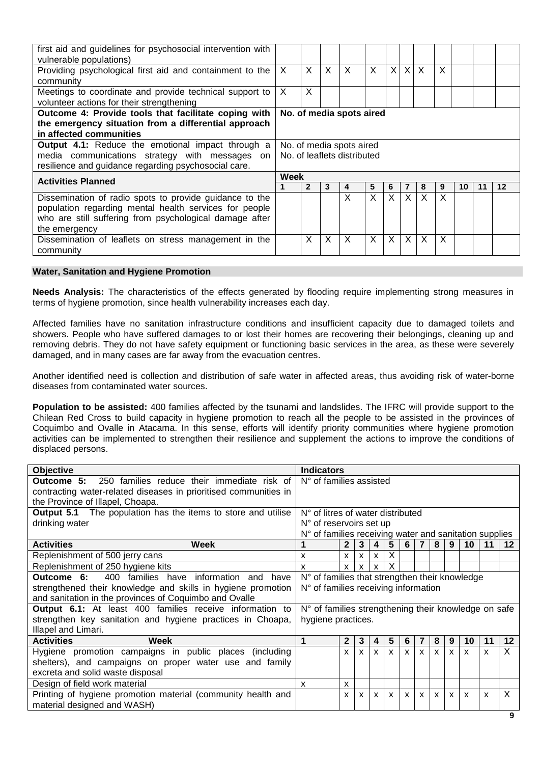| first aid and guidelines for psychosocial intervention with |                             |   |   |                          |         |          |          |              |              |    |    |    |
|-------------------------------------------------------------|-----------------------------|---|---|--------------------------|---------|----------|----------|--------------|--------------|----|----|----|
| vulnerable populations)                                     |                             |   |   |                          |         |          |          |              |              |    |    |    |
| Providing psychological first aid and containment to the    | X                           | X | X | X                        | $\sf X$ | $\times$ | X        | $\mathsf{X}$ | $\mathsf{X}$ |    |    |    |
| community                                                   |                             |   |   |                          |         |          |          |              |              |    |    |    |
| Meetings to coordinate and provide technical support to     | $\times$                    | X |   |                          |         |          |          |              |              |    |    |    |
| volunteer actions for their strengthening                   |                             |   |   |                          |         |          |          |              |              |    |    |    |
| Outcome 4: Provide tools that facilitate coping with        |                             |   |   | No. of media spots aired |         |          |          |              |              |    |    |    |
| the emergency situation from a differential approach        |                             |   |   |                          |         |          |          |              |              |    |    |    |
| in affected communities                                     |                             |   |   |                          |         |          |          |              |              |    |    |    |
| <b>Output 4.1:</b> Reduce the emotional impact through a    | No. of media spots aired    |   |   |                          |         |          |          |              |              |    |    |    |
| media communications strategy with messages on              | No. of leaflets distributed |   |   |                          |         |          |          |              |              |    |    |    |
| resilience and guidance regarding psychosocial care.        |                             |   |   |                          |         |          |          |              |              |    |    |    |
| <b>Activities Planned</b>                                   | Week                        |   |   |                          |         |          |          |              |              |    |    |    |
|                                                             |                             | 2 | 3 | 4                        | 5       | 6        | 7        | 8            | 9            | 10 | 11 | 12 |
| Dissemination of radio spots to provide guidance to the     |                             |   |   | X                        | X       | $\times$ | $\times$ | $\times$     | X            |    |    |    |
| population regarding mental health services for people      |                             |   |   |                          |         |          |          |              |              |    |    |    |
| who are still suffering from psychological damage after     |                             |   |   |                          |         |          |          |              |              |    |    |    |
| the emergency                                               |                             |   |   |                          |         |          |          |              |              |    |    |    |
| Dissemination of leaflets on stress management in the       |                             | X | X | X                        | X       | X        | X        | X            | X            |    |    |    |
| community                                                   |                             |   |   |                          |         |          |          |              |              |    |    |    |

#### **Water, Sanitation and Hygiene Promotion**

**Needs Analysis:** The characteristics of the effects generated by flooding require implementing strong measures in terms of hygiene promotion, since health vulnerability increases each day.

Affected families have no sanitation infrastructure conditions and insufficient capacity due to damaged toilets and showers. People who have suffered damages to or lost their homes are recovering their belongings, cleaning up and removing debris. They do not have safety equipment or functioning basic services in the area, as these were severely damaged, and in many cases are far away from the evacuation centres.

Another identified need is collection and distribution of safe water in affected areas, thus avoiding risk of water-borne diseases from contaminated water sources.

**Population to be assisted:** 400 families affected by the tsunami and landslides. The IFRC will provide support to the Chilean Red Cross to build capacity in hygiene promotion to reach all the people to be assisted in the provinces of Coquimbo and Ovalle in Atacama. In this sense, efforts will identify priority communities where hygiene promotion activities can be implemented to strengthen their resilience and supplement the actions to improve the conditions of displaced persons.

| <b>Objective</b>                                                    | <b>Indicators</b>                                                                                                                                              |              |              |              |              |              |                |              |              |              |    |         |
|---------------------------------------------------------------------|----------------------------------------------------------------------------------------------------------------------------------------------------------------|--------------|--------------|--------------|--------------|--------------|----------------|--------------|--------------|--------------|----|---------|
| 250 families reduce their immediate risk of<br>Outcome 5:           | N° of families assisted                                                                                                                                        |              |              |              |              |              |                |              |              |              |    |         |
| contracting water-related diseases in prioritised communities in    |                                                                                                                                                                |              |              |              |              |              |                |              |              |              |    |         |
| the Province of Illapel, Choapa.                                    |                                                                                                                                                                |              |              |              |              |              |                |              |              |              |    |         |
| <b>Output 5.1</b> The population has the items to store and utilise | N° of litres of water distributed                                                                                                                              |              |              |              |              |              |                |              |              |              |    |         |
| drinking water                                                      | N° of reservoirs set up                                                                                                                                        |              |              |              |              |              |                |              |              |              |    |         |
|                                                                     | N° of families receiving water and sanitation supplies                                                                                                         |              |              |              |              |              |                |              |              |              |    |         |
| <b>Activities</b><br>Week                                           |                                                                                                                                                                | $\mathbf{2}$ | 3            | 4            | 5            | 6            | $\overline{7}$ | 8            | 9            | 10           | 11 | $12 \,$ |
| Replenishment of 500 jerry cans                                     | X                                                                                                                                                              | X            | X            | $\mathsf{X}$ | X            |              |                |              |              |              |    |         |
| Replenishment of 250 hygiene kits                                   | x                                                                                                                                                              | x            |              | x            | Χ            |              |                |              |              |              |    |         |
| Outcome 6:<br>400<br>families have information<br>and have          | N° of families that strengthen their knowledge                                                                                                                 |              |              |              |              |              |                |              |              |              |    |         |
| strengthened their knowledge and skills in hygiene promotion        | N° of families receiving information                                                                                                                           |              |              |              |              |              |                |              |              |              |    |         |
| and sanitation in the provinces of Coquimbo and Ovalle              |                                                                                                                                                                |              |              |              |              |              |                |              |              |              |    |         |
| <b>Output 6.1:</b> At least 400 families receive information to     | N° of families strengthening their knowledge on safe                                                                                                           |              |              |              |              |              |                |              |              |              |    |         |
| strengthen key sanitation and hygiene practices in Choapa,          | hygiene practices.                                                                                                                                             |              |              |              |              |              |                |              |              |              |    |         |
| Illapel and Limari.                                                 |                                                                                                                                                                |              |              |              |              |              |                |              |              |              |    |         |
| <b>Activities</b><br>Week                                           | 1                                                                                                                                                              | $\mathbf{2}$ | 3            | 4            | 5            | 6            | 7              | 8            | 9            | 10           | 11 | 12      |
| Hygiene promotion campaigns in public places (including             |                                                                                                                                                                | X            | $\mathbf{x}$ | $\mathsf{x}$ | $\mathsf{x}$ | $\mathsf{x}$ | $\mathbf{x}$   | $\mathbf{x}$ | $\mathsf{x}$ | $\mathsf{x}$ | X  | X       |
| shelters), and campaigns on proper water use and family             |                                                                                                                                                                |              |              |              |              |              |                |              |              |              |    |         |
| excreta and solid waste disposal                                    |                                                                                                                                                                |              |              |              |              |              |                |              |              |              |    |         |
| Design of field work material                                       | X                                                                                                                                                              | x            |              |              |              |              |                |              |              |              |    |         |
| Printing of hygiene promotion material (community health and        | $\mathsf{x}$<br>$\mathsf{x}$<br>$\mathsf{x}$<br>$\mathsf{x}$<br>$\mathsf{x}$<br>$\mathsf{x}$<br>$\mathsf{x}$<br>$\mathsf{x}$<br>$\boldsymbol{\mathsf{x}}$<br>X |              |              |              |              |              | X              |              |              |              |    |         |
| material designed and WASH)                                         |                                                                                                                                                                |              |              |              |              |              |                |              |              |              |    |         |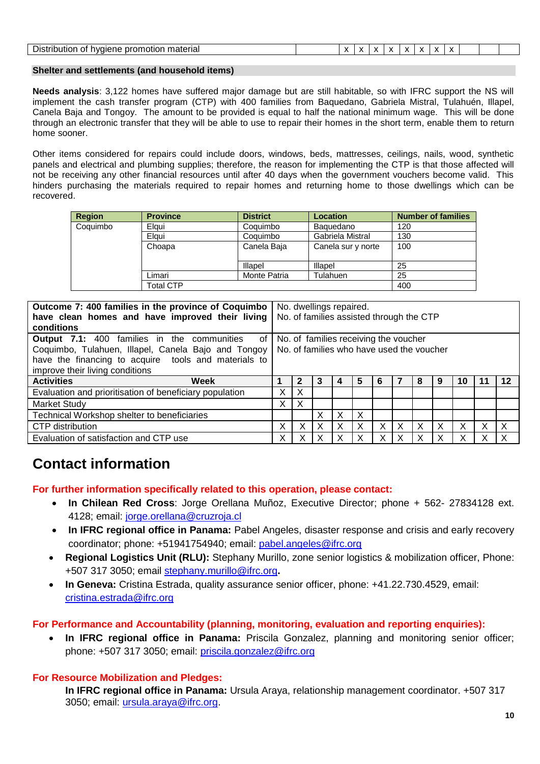|  | Disti<br>. mataric'<br>≛ ОГС.<br>$\cdot$<br>пасна<br>''<br>.<br><br> |  | $\mathbf{r}$<br>$\overline{\phantom{a}}$ |  |  |  | <br>$\overline{\phantom{a}}$ | $\cdot$<br>$\lambda$ | <br>. . |  |  |  |  |
|--|----------------------------------------------------------------------|--|------------------------------------------|--|--|--|------------------------------|----------------------|---------|--|--|--|--|
|--|----------------------------------------------------------------------|--|------------------------------------------|--|--|--|------------------------------|----------------------|---------|--|--|--|--|

#### **Shelter and settlements (and household items)**

**Needs analysis**: 3,122 homes have suffered major damage but are still habitable, so with IFRC support the NS will implement the cash transfer program (CTP) with 400 families from Baquedano, Gabriela Mistral, Tulahuén, Illapel, Canela Baja and Tongoy. The amount to be provided is equal to half the national minimum wage. This will be done through an electronic transfer that they will be able to use to repair their homes in the short term, enable them to return home sooner.

Other items considered for repairs could include doors, windows, beds, mattresses, ceilings, nails, wood, synthetic panels and electrical and plumbing supplies; therefore, the reason for implementing the CTP is that those affected will not be receiving any other financial resources until after 40 days when the government vouchers become valid. This hinders purchasing the materials required to repair homes and returning home to those dwellings which can be recovered.

| <b>Region</b> | <b>Province</b>  | <b>District</b>     | <b>Location</b>    | <b>Number of families</b> |
|---------------|------------------|---------------------|--------------------|---------------------------|
| Coquimbo      | Elaui            | Coquimbo            | Baguedano          | 120                       |
|               | Elaui            | Coquimbo            | Gabriela Mistral   | 130                       |
|               | Choapa           | Canela Baja         | Canela sur y norte | 100                       |
|               |                  | Illapel             | Illapel            | 25                        |
|               | Limari           | <b>Monte Patria</b> | Tulahuen           | 25                        |
|               | <b>Total CTP</b> |                     |                    | 400                       |

| Outcome 7: 400 families in the province of Coquimbo<br>have clean homes and have improved their living<br>conditions                                                                                         |   | No. dwellings repaired.<br>No. of families assisted through the CTP                |   |   |   |   |          |   |   |    |    |
|--------------------------------------------------------------------------------------------------------------------------------------------------------------------------------------------------------------|---|------------------------------------------------------------------------------------|---|---|---|---|----------|---|---|----|----|
| <b>Output 7.1:</b> 400 families in the communities<br>of<br>Coquimbo, Tulahuen, Illapel, Canela Bajo and Tongoy  <br>have the financing to acquire tools and materials to<br>improve their living conditions |   | No. of families receiving the voucher<br>No. of families who have used the voucher |   |   |   |   |          |   |   |    |    |
| <b>Activities</b><br>Week                                                                                                                                                                                    |   |                                                                                    | З |   | 5 | 6 |          | 8 | 9 | 10 | 12 |
| Evaluation and prioritisation of beneficiary population                                                                                                                                                      | х | х                                                                                  |   |   |   |   |          |   |   |    |    |
| <b>Market Study</b>                                                                                                                                                                                          | х | х                                                                                  |   |   |   |   |          |   |   |    |    |
| Technical Workshop shelter to beneficiaries                                                                                                                                                                  |   |                                                                                    | x | X | X |   |          |   |   |    |    |
| <b>CTP</b> distribution                                                                                                                                                                                      | х |                                                                                    | x | X | Χ | X | $\times$ | X | X | X  | x  |
| Evaluation of satisfaction and CTP use                                                                                                                                                                       |   |                                                                                    |   |   |   |   |          |   |   |    |    |

## **Contact information**

**For further information specifically related to this operation, please contact:**

- **In Chilean Red Cross**: Jorge Orellana Muñoz, Executive Director; phone + 562- 27834128 ext. 4128; email: [jorge.orellana@cruzroja.cl](mailto:jorge.orellana@cruzroja.cl)
- **In IFRC regional office in Panama:** Pabel Angeles, disaster response and crisis and early recovery coordinator; phone: +51941754940; email: [pabel.angeles@ifrc.org](mailto:pabel.angeles@ifrc.org)
- **Regional Logistics Unit (RLU):** Stephany Murillo, zone senior logistics & mobilization officer, Phone: +507 317 3050; email [stephany.murillo@ifrc.org](mailto:Stephany.murillo@ifrc.org)**.**
- **In Geneva:** Cristina Estrada, quality assurance senior officer, phone: +41.22.730.4529, email: [cristina.estrada@ifrc.org](mailto:cristina.estrada@ifrc.org)

**For Performance and Accountability (planning, monitoring, evaluation and reporting enquiries):**

 **In IFRC regional office in Panama:** Priscila Gonzalez, planning and monitoring senior officer; phone: +507 317 3050; email: [priscila.gonzalez@ifrc.org](mailto:priscila.gonzalez@ifrc.org)

#### **For Resource Mobilization and Pledges:**

**In IFRC regional office in Panama:** Ursula Araya, relationship management coordinator. +507 317 3050; email: [ursula.araya@ifrc.org.](mailto:ursula.araya@ifrc.org)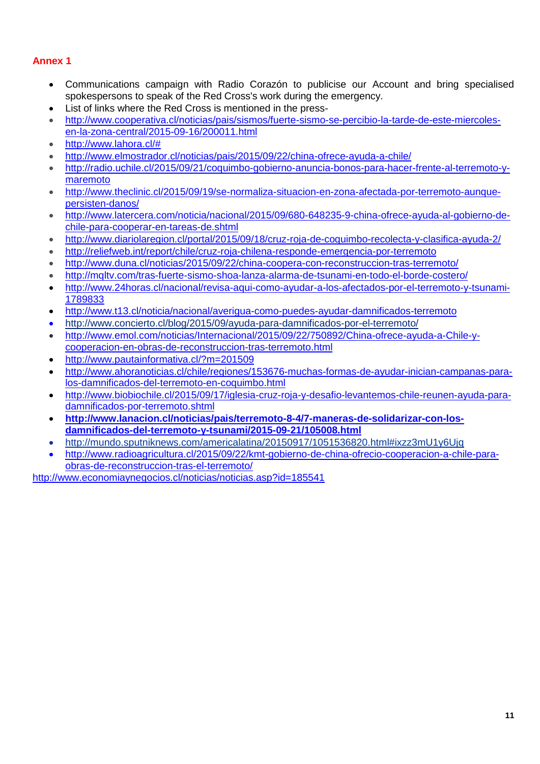#### **Annex 1**

- Communications campaign with Radio Corazón to publicise our Account and bring specialised spokespersons to speak of the Red Cross's work during the emergency.
- List of links where the Red Cross is mentioned in the press-
- [http://www.cooperativa.cl/noticias/pais/sismos/fuerte-sismo-se-percibio-la-tarde-de-este-miercoles](http://www.cooperativa.cl/noticias/pais/sismos/fuerte-sismo-se-percibio-la-tarde-de-este-miercoles-en-la-zona-central/2015-09-16/200011.html)[en-la-zona-central/2015-09-16/200011.html](http://www.cooperativa.cl/noticias/pais/sismos/fuerte-sismo-se-percibio-la-tarde-de-este-miercoles-en-la-zona-central/2015-09-16/200011.html)
- [http://www.lahora.cl/#](http://www.lahora.cl/)
- <http://www.elmostrador.cl/noticias/pais/2015/09/22/china-ofrece-ayuda-a-chile/>
- [http://radio.uchile.cl/2015/09/21/coquimbo-gobierno-anuncia-bonos-para-hacer-frente-al-terremoto-y](http://radio.uchile.cl/2015/09/21/coquimbo-gobierno-anuncia-bonos-para-hacer-frente-al-terremoto-y-maremoto)[maremoto](http://radio.uchile.cl/2015/09/21/coquimbo-gobierno-anuncia-bonos-para-hacer-frente-al-terremoto-y-maremoto)
- [http://www.theclinic.cl/2015/09/19/se-normaliza-situacion-en-zona-afectada-por-terremoto-aunque](http://www.theclinic.cl/2015/09/19/se-normaliza-situacion-en-zona-afectada-por-terremoto-aunque-persisten-danos/)[persisten-danos/](http://www.theclinic.cl/2015/09/19/se-normaliza-situacion-en-zona-afectada-por-terremoto-aunque-persisten-danos/)
- [http://www.latercera.com/noticia/nacional/2015/09/680-648235-9-china-ofrece-ayuda-al-gobierno-de](http://www.latercera.com/noticia/nacional/2015/09/680-648235-9-china-ofrece-ayuda-al-gobierno-de-chile-para-cooperar-en-tareas-de.shtml)[chile-para-cooperar-en-tareas-de.shtml](http://www.latercera.com/noticia/nacional/2015/09/680-648235-9-china-ofrece-ayuda-al-gobierno-de-chile-para-cooperar-en-tareas-de.shtml)
- <http://www.diariolaregion.cl/portal/2015/09/18/cruz-roja-de-coquimbo-recolecta-y-clasifica-ayuda-2/>
- <http://reliefweb.int/report/chile/cruz-roja-chilena-responde-emergencia-por-terremoto>
- <http://www.duna.cl/noticias/2015/09/22/china-coopera-con-reconstruccion-tras-terremoto/>
- <http://mqltv.com/tras-fuerte-sismo-shoa-lanza-alarma-de-tsunami-en-todo-el-borde-costero/>
- [http://www.24horas.cl/nacional/revisa-aqui-como-ayudar-a-los-afectados-por-el-terremoto-y-tsunami-](http://www.24horas.cl/nacional/revisa-aqui-como-ayudar-a-los-afectados-por-el-terremoto-y-tsunami-1789833)[1789833](http://www.24horas.cl/nacional/revisa-aqui-como-ayudar-a-los-afectados-por-el-terremoto-y-tsunami-1789833)
- <http://www.t13.cl/noticia/nacional/averigua-como-puedes-ayudar-damnificados-terremoto>
- <http://www.concierto.cl/blog/2015/09/ayuda-para-damnificados-por-el-terremoto/>
- [http://www.emol.com/noticias/Internacional/2015/09/22/750892/China-ofrece-ayuda-a-Chile-y](http://www.emol.com/noticias/Internacional/2015/09/22/750892/China-ofrece-ayuda-a-Chile-y-cooperacion-en-obras-de-reconstruccion-tras-terremoto.html)[cooperacion-en-obras-de-reconstruccion-tras-terremoto.html](http://www.emol.com/noticias/Internacional/2015/09/22/750892/China-ofrece-ayuda-a-Chile-y-cooperacion-en-obras-de-reconstruccion-tras-terremoto.html)
- <http://www.pautainformativa.cl/?m=201509>
- [http://www.ahoranoticias.cl/chile/regiones/153676-muchas-formas-de-ayudar-inician-campanas-para](http://www.ahoranoticias.cl/chile/regiones/153676-muchas-formas-de-ayudar-inician-campanas-para-los-damnificados-del-terremoto-en-coquimbo.html)[los-damnificados-del-terremoto-en-coquimbo.html](http://www.ahoranoticias.cl/chile/regiones/153676-muchas-formas-de-ayudar-inician-campanas-para-los-damnificados-del-terremoto-en-coquimbo.html)
- [http://www.biobiochile.cl/2015/09/17/iglesia-cruz-roja-y-desafio-levantemos-chile-reunen-ayuda-para](http://www.biobiochile.cl/2015/09/17/iglesia-cruz-roja-y-desafio-levantemos-chile-reunen-ayuda-para-damnificados-por-terremoto.shtml)[damnificados-por-terremoto.shtml](http://www.biobiochile.cl/2015/09/17/iglesia-cruz-roja-y-desafio-levantemos-chile-reunen-ayuda-para-damnificados-por-terremoto.shtml)
- **[http://www.lanacion.cl/noticias/pais/terremoto-8-4/7-maneras-de-solidarizar-con-los](http://www.lanacion.cl/noticias/pais/terremoto-8-4/7-maneras-de-solidarizar-con-los-damnificados-del-terremoto-y-tsunami/2015-09-21/105008.html)[damnificados-del-terremoto-y-tsunami/2015-09-21/105008.html](http://www.lanacion.cl/noticias/pais/terremoto-8-4/7-maneras-de-solidarizar-con-los-damnificados-del-terremoto-y-tsunami/2015-09-21/105008.html)**
- <http://mundo.sputniknews.com/americalatina/20150917/1051536820.html#ixzz3mU1y6Ujq>
- [http://www.radioagricultura.cl/2015/09/22/kmt-gobierno-de-china-ofrecio-cooperacion-a-chile-para](http://www.radioagricultura.cl/2015/09/22/kmt-gobierno-de-china-ofrecio-cooperacion-a-chile-para-obras-de-reconstruccion-tras-el-terremoto/)[obras-de-reconstruccion-tras-el-terremoto/](http://www.radioagricultura.cl/2015/09/22/kmt-gobierno-de-china-ofrecio-cooperacion-a-chile-para-obras-de-reconstruccion-tras-el-terremoto/)

<http://www.economiaynegocios.cl/noticias/noticias.asp?id=185541>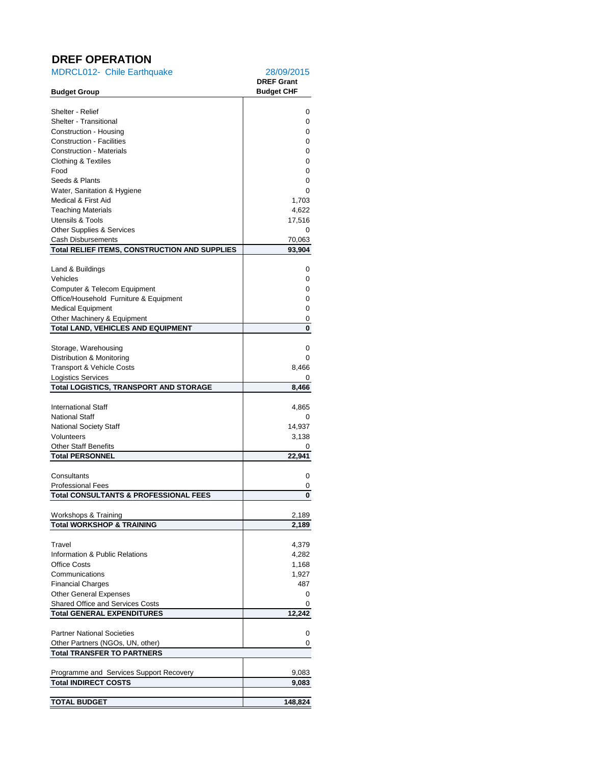### **DREF OPERATION**

| <b>MDRCL012- Chile Earthquake</b>                            | 28/09/2015<br><b>DREF Grant</b> |
|--------------------------------------------------------------|---------------------------------|
| <b>Budget Group</b>                                          | <b>Budget CHF</b>               |
| Shelter - Relief                                             | 0                               |
| Shelter - Transitional                                       | 0                               |
| Construction - Housing                                       | 0                               |
| <b>Construction - Facilities</b>                             | 0                               |
| <b>Construction - Materials</b>                              | 0                               |
| Clothing & Textiles                                          | 0                               |
| Food                                                         | 0                               |
| Seeds & Plants                                               | 0                               |
| Water, Sanitation & Hygiene                                  | 0                               |
| Medical & First Aid<br><b>Teaching Materials</b>             | 1,703<br>4,622                  |
| <b>Utensils &amp; Tools</b>                                  | 17,516                          |
| <b>Other Supplies &amp; Services</b>                         | 0                               |
| Cash Disbursements                                           | 70,063                          |
| <b>Total RELIEF ITEMS, CONSTRUCTION AND SUPPLIES</b>         | 93,904                          |
| Land & Buildings                                             | 0                               |
| Vehicles                                                     | 0                               |
| Computer & Telecom Equipment                                 | 0                               |
| Office/Household Furniture & Equipment                       | 0                               |
| <b>Medical Equipment</b>                                     | 0                               |
| Other Machinery & Equipment                                  | 0                               |
| <b>Total LAND, VEHICLES AND EQUIPMENT</b>                    | 0                               |
|                                                              |                                 |
| Storage, Warehousing                                         | 0                               |
| Distribution & Monitoring                                    | 0                               |
| Transport & Vehicle Costs<br><b>Logistics Services</b>       | 8,466<br>0                      |
| <b>Total LOGISTICS, TRANSPORT AND STORAGE</b>                | 8,466                           |
|                                                              |                                 |
| <b>International Staff</b>                                   | 4,865                           |
| <b>National Staff</b>                                        | 0                               |
| <b>National Society Staff</b>                                | 14,937                          |
| Volunteers                                                   | 3,138                           |
| <b>Other Staff Benefits</b>                                  | 0                               |
| <b>Total PERSONNEL</b>                                       | 22,941                          |
| Consultants                                                  | 0                               |
| <b>Professional Fees</b>                                     | 0                               |
| <b>Total CONSULTANTS &amp; PROFESSIONAL FEES</b>             | 0                               |
|                                                              | 2,189                           |
| Workshops & Training<br><b>Total WORKSHOP &amp; TRAINING</b> | 2,189                           |
|                                                              |                                 |
| Travel                                                       | 4,379                           |
| Information & Public Relations                               | 4,282                           |
| <b>Office Costs</b>                                          | 1,168                           |
| Communications                                               | 1,927                           |
| <b>Financial Charges</b>                                     | 487                             |
| <b>Other General Expenses</b>                                | 0                               |
| <b>Shared Office and Services Costs</b>                      | 0                               |
| <b>Total GENERAL EXPENDITURES</b>                            | 12,242                          |
| <b>Partner National Societies</b>                            | 0                               |
| Other Partners (NGOs, UN, other)                             | 0                               |
| <b>Total TRANSFER TO PARTNERS</b>                            |                                 |
|                                                              |                                 |
| Programme and Services Support Recovery                      | 9,083                           |
| <b>Total INDIRECT COSTS</b>                                  | 9,083                           |
| <b>TOTAL BUDGET</b>                                          | 148,824                         |